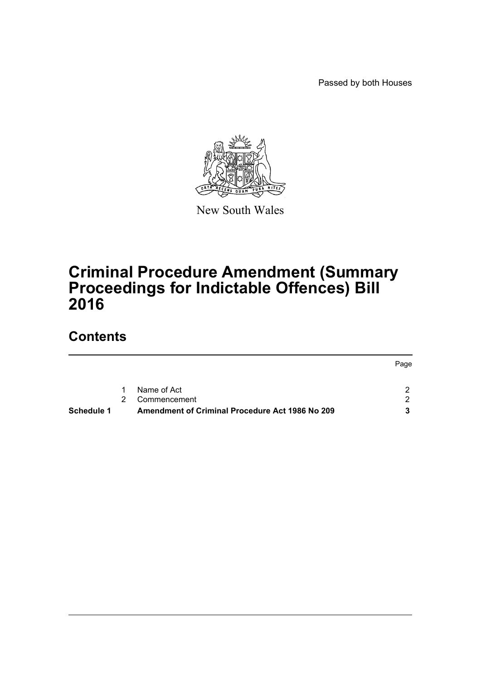Passed by both Houses



New South Wales

# **Criminal Procedure Amendment (Summary Proceedings for Indictable Offences) Bill 2016**

## **Contents**

| Schedule 1 |             | Amendment of Criminal Procedure Act 1986 No 209 |      |
|------------|-------------|-------------------------------------------------|------|
|            | $2^{\circ}$ | Commencement                                    |      |
|            | 1.          | Name of Act                                     |      |
|            |             |                                                 | Page |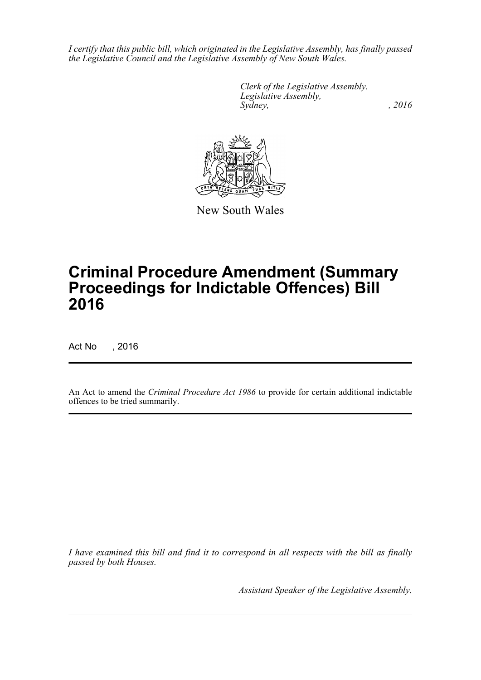*I certify that this public bill, which originated in the Legislative Assembly, has finally passed the Legislative Council and the Legislative Assembly of New South Wales.*

> *Clerk of the Legislative Assembly. Legislative Assembly, Sydney,* , 2016



New South Wales

# **Criminal Procedure Amendment (Summary Proceedings for Indictable Offences) Bill 2016**

Act No , 2016

An Act to amend the *Criminal Procedure Act 1986* to provide for certain additional indictable offences to be tried summarily.

*I have examined this bill and find it to correspond in all respects with the bill as finally passed by both Houses.*

*Assistant Speaker of the Legislative Assembly.*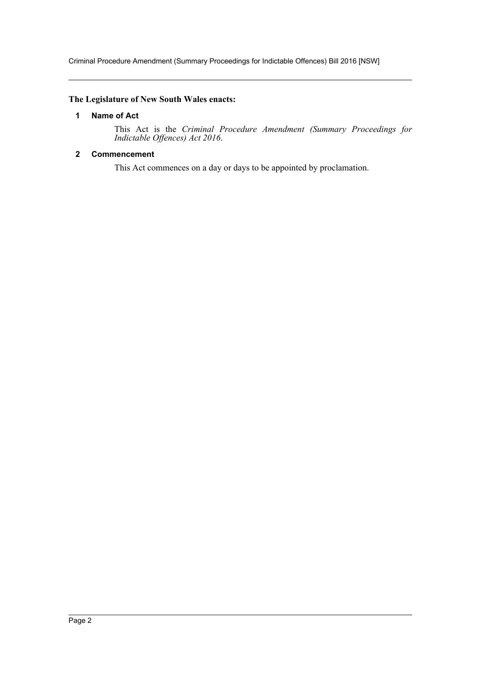Criminal Procedure Amendment (Summary Proceedings for Indictable Offences) Bill 2016 [NSW]

#### <span id="page-2-0"></span>**The Legislature of New South Wales enacts:**

#### **1 Name of Act**

This Act is the *Criminal Procedure Amendment (Summary Proceedings for Indictable Offences) Act 2016*.

#### <span id="page-2-1"></span>**2 Commencement**

This Act commences on a day or days to be appointed by proclamation.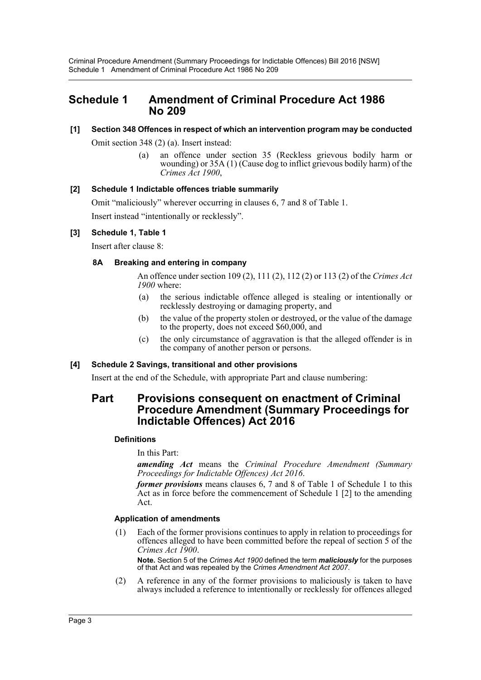Criminal Procedure Amendment (Summary Proceedings for Indictable Offences) Bill 2016 [NSW] Schedule 1 Amendment of Criminal Procedure Act 1986 No 209

### <span id="page-3-0"></span>**Schedule 1 Amendment of Criminal Procedure Act 1986 No 209**

### **[1] Section 348 Offences in respect of which an intervention program may be conducted**

Omit section 348 (2) (a). Insert instead:

(a) an offence under section 35 (Reckless grievous bodily harm or wounding) or 35A (1) (Cause dog to inflict grievous bodily harm) of the *Crimes Act 1900*,

#### **[2] Schedule 1 Indictable offences triable summarily**

Omit "maliciously" wherever occurring in clauses 6, 7 and 8 of Table 1. Insert instead "intentionally or recklessly".

#### **[3] Schedule 1, Table 1**

Insert after clause 8:

#### **8A Breaking and entering in company**

An offence under section 109 (2), 111 (2), 112 (2) or 113 (2) of the *Crimes Act 1900* where:

- (a) the serious indictable offence alleged is stealing or intentionally or recklessly destroying or damaging property, and
- (b) the value of the property stolen or destroyed, or the value of the damage to the property, does not exceed \$60,000, and
- (c) the only circumstance of aggravation is that the alleged offender is in the company of another person or persons.

#### **[4] Schedule 2 Savings, transitional and other provisions**

Insert at the end of the Schedule, with appropriate Part and clause numbering:

### **Part Provisions consequent on enactment of Criminal Procedure Amendment (Summary Proceedings for Indictable Offences) Act 2016**

#### **Definitions**

In this Part:

*amending Act* means the *Criminal Procedure Amendment (Summary Proceedings for Indictable Offences) Act 2016*.

*former provisions* means clauses 6, 7 and 8 of Table 1 of Schedule 1 to this Act as in force before the commencement of Schedule 1 [2] to the amending Act.

#### **Application of amendments**

(1) Each of the former provisions continues to apply in relation to proceedings for offences alleged to have been committed before the repeal of section 5 of the *Crimes Act 1900*.

**Note.** Section 5 of the *Crimes Act 1900* defined the term *maliciously* for the purposes of that Act and was repealed by the *Crimes Amendment Act 2007*.

(2) A reference in any of the former provisions to maliciously is taken to have always included a reference to intentionally or recklessly for offences alleged